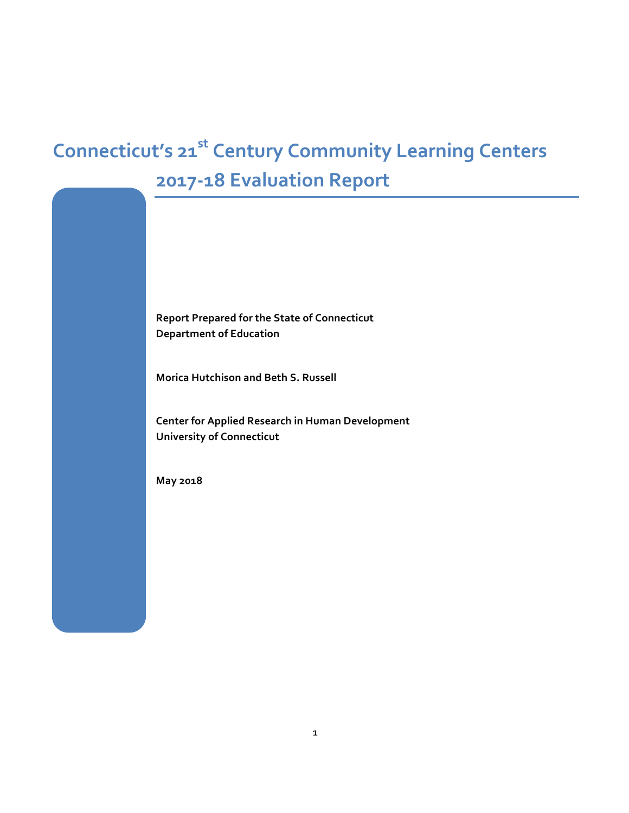# **Connecticut's 21st Century Community Learning Centers 2017-18 Evaluation Report**

**Report Prepared for the State of Connecticut Department of Education**

**Morica Hutchison and Beth S. Russell** 

**Center for Applied Research in Human Development University of Connecticut**

**May 2018**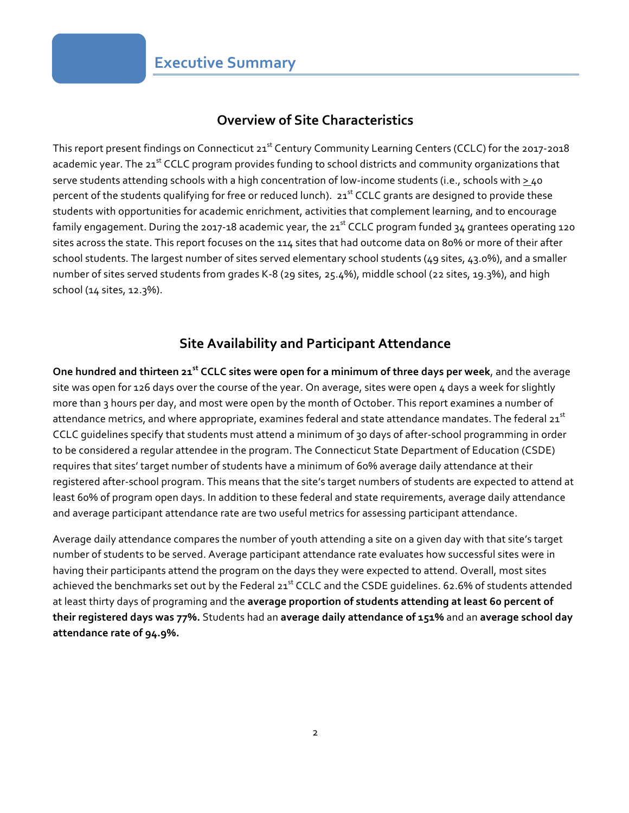### **Overview of Site Characteristics**

This report present findings on Connecticut 21<sup>st</sup> Century Community Learning Centers (CCLC) for the 2017-2018 academic year. The 21<sup>st</sup> CCLC program provides funding to school districts and community organizations that serve students attending schools with a high concentration of low-income students (i.e., schools with  $\geq$ 40 percent of the students qualifying for free or reduced lunch). 21<sup>st</sup> CCLC grants are designed to provide these students with opportunities for academic enrichment, activities that complement learning, and to encourage family engagement. During the 2017-18 academic year, the 21<sup>st</sup> CCLC program funded 34 grantees operating 120 sites across the state. This report focuses on the 114 sites that had outcome data on 80% or more of their after school students. The largest number of sites served elementary school students (49 sites, 43.0%), and a smaller number of sites served students from grades K-8 (29 sites, 25.4%), middle school (22 sites, 19.3%), and high school (14 sites, 12.3%).

### **Site Availability and Participant Attendance**

**One hundred and thirteen 21st CCLC sites were open for a minimum of three days per week**, and the average site was open for 126 days over the course of the year. On average, sites were open 4 days a week for slightly more than 3 hours per day, and most were open by the month of October. This report examines a number of attendance metrics, and where appropriate, examines federal and state attendance mandates. The federal 21<sup>st</sup> CCLC guidelines specify that students must attend a minimum of 30 days of after-school programming in order to be considered a regular attendee in the program. The Connecticut State Department of Education (CSDE) requires that sites' target number of students have a minimum of 60% average daily attendance at their registered after-school program. This means that the site's target numbers of students are expected to attend at least 60% of program open days. In addition to these federal and state requirements, average daily attendance and average participant attendance rate are two useful metrics for assessing participant attendance.

Average daily attendance compares the number of youth attending a site on a given day with that site's target number of students to be served. Average participant attendance rate evaluates how successful sites were in having their participants attend the program on the days they were expected to attend. Overall, most sites achieved the benchmarks set out by the Federal 21<sup>st</sup> CCLC and the CSDE guidelines. 62.6% of students attended at least thirty days of programing and the **average proportion of students attending at least 60 percent of their registered days was 77%.** Students had an **average daily attendance of 151%** and an **average school day attendance rate of 94.9%.**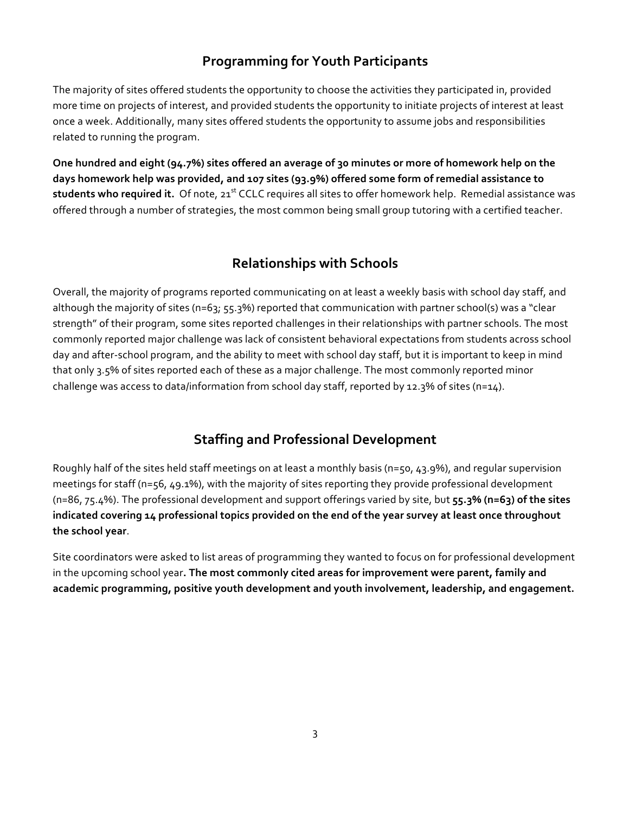### **Programming for Youth Participants**

The majority of sites offered students the opportunity to choose the activities they participated in, provided more time on projects of interest, and provided students the opportunity to initiate projects of interest at least once a week. Additionally, many sites offered students the opportunity to assume jobs and responsibilities related to running the program.

**One hundred and eight (94.7%) sites offered an average of 30 minutes or more of homework help on the days homework help was provided, and 107 sites (93.9%) offered some form of remedial assistance to**  students who required it. Of note, 21<sup>st</sup> CCLC requires all sites to offer homework help. Remedial assistance was offered through a number of strategies, the most common being small group tutoring with a certified teacher.

## **Relationships with Schools**

Overall, the majority of programs reported communicating on at least a weekly basis with school day staff, and although the majority of sites (n=63; 55.3%) reported that communication with partner school(s) was a "clear strength" of their program, some sites reported challenges in their relationships with partner schools. The most commonly reported major challenge was lack of consistent behavioral expectations from students across school day and after-school program, and the ability to meet with school day staff, but it is important to keep in mind that only 3.5% of sites reported each of these as a major challenge. The most commonly reported minor challenge was access to data/information from school day staff, reported by 12.3% of sites (n=14).

## **Staffing and Professional Development**

Roughly half of the sites held staff meetings on at least a monthly basis (n=50, 43.9%), and regular supervision meetings for staff (n=56, 49.1%), with the majority of sites reporting they provide professional development (n=86, 75.4%). The professional development and support offerings varied by site, but **55.3% (n=63) of the sites indicated covering 14 professional topics provided on the end of the year survey at least once throughout the school year**.

Site coordinators were asked to list areas of programming they wanted to focus on for professional development in the upcoming school year**. The most commonly cited areas for improvement were parent, family and academic programming, positive youth development and youth involvement, leadership, and engagement.**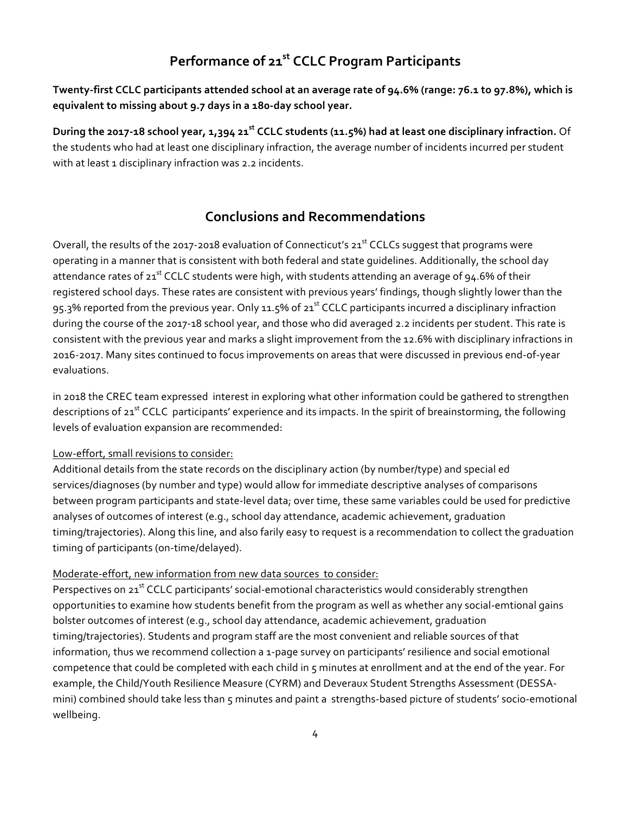## **Performance of 21st CCLC Program Participants**

**Twenty-first CCLC participants attended school at an average rate of 94.6% (range: 76.1 to 97.8%), which is equivalent to missing about 9.7 days in a 180-day school year.** 

**During the 2017-18 school year, 1,394 21st CCLC students (11.5%) had at least one disciplinary infraction.** Of the students who had at least one disciplinary infraction, the average number of incidents incurred per student with at least 1 disciplinary infraction was 2.2 incidents.

### **Conclusions and Recommendations**

Overall, the results of the 2017-2018 evaluation of Connecticut's  $21^{st}$  CCLCs suggest that programs were operating in a manner that is consistent with both federal and state guidelines. Additionally, the school day attendance rates of  $21^{st}$  CCLC students were high, with students attending an average of 94.6% of their registered school days. These rates are consistent with previous years' findings, though slightly lower than the 95.3% reported from the previous year. Only 11.5% of 21<sup>st</sup> CCLC participants incurred a disciplinary infraction during the course of the 2017-18 school year, and those who did averaged 2.2 incidents per student. This rate is consistent with the previous year and marks a slight improvement from the 12.6% with disciplinary infractions in 2016-2017. Many sites continued to focus improvements on areas that were discussed in previous end-of-year evaluations.

in 2018 the CREC team expressed interest in exploring what other information could be gathered to strengthen descriptions of 21<sup>st</sup> CCLC participants' experience and its impacts. In the spirit of breainstorming, the following levels of evaluation expansion are recommended:

#### Low-effort, small revisions to consider:

Additional details from the state records on the disciplinary action (by number/type) and special ed services/diagnoses (by number and type) would allow for immediate descriptive analyses of comparisons between program participants and state-level data; over time, these same variables could be used for predictive analyses of outcomes of interest (e.g., school day attendance, academic achievement, graduation timing/trajectories). Along this line, and also farily easy to request is a recommendation to collect the graduation timing of participants (on-time/delayed).

#### Moderate-effort, new information from new data sources to consider:

Perspectives on 21<sup>st</sup> CCLC participants' social-emotional characteristics would considerably strengthen opportunities to examine how students benefit from the program as well as whether any social-emtional gains bolster outcomes of interest (e.g., school day attendance, academic achievement, graduation timing/trajectories). Students and program staff are the most convenient and reliable sources of that information, thus we recommend collection a 1-page survey on participants' resilience and social emotional competence that could be completed with each child in 5 minutes at enrollment and at the end of the year. For example, the Child/Youth Resilience Measure (CYRM) and Deveraux Student Strengths Assessment (DESSAmini) combined should take less than 5 minutes and paint a strengths-based picture of students' socio-emotional wellbeing.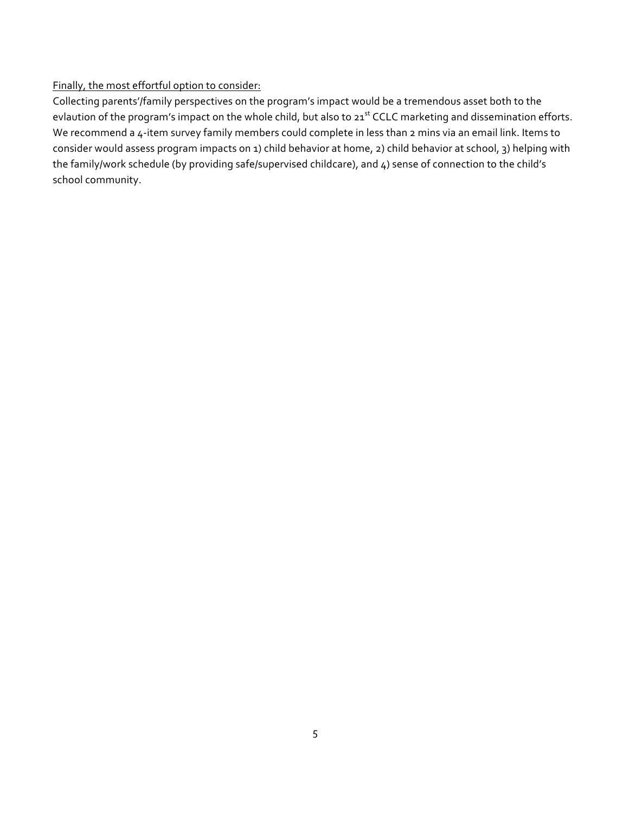#### Finally, the most effortful option to consider:

Collecting parents'/family perspectives on the program's impact would be a tremendous asset both to the evlaution of the program's impact on the whole child, but also to 21<sup>st</sup> CCLC marketing and dissemination efforts. We recommend a 4-item survey family members could complete in less than 2 mins via an email link. Items to consider would assess program impacts on 1) child behavior at home, 2) child behavior at school, 3) helping with the family/work schedule (by providing safe/supervised childcare), and 4) sense of connection to the child's school community.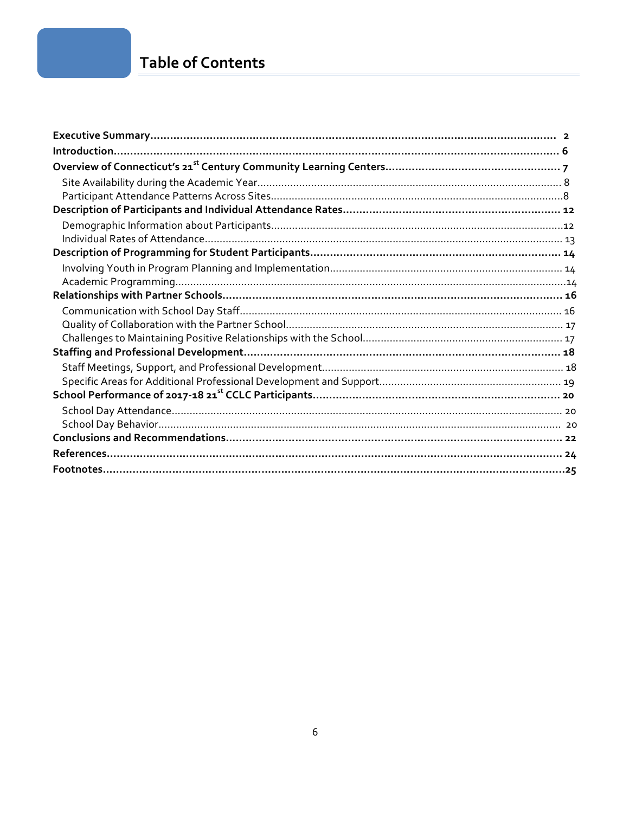## **Table of Contents**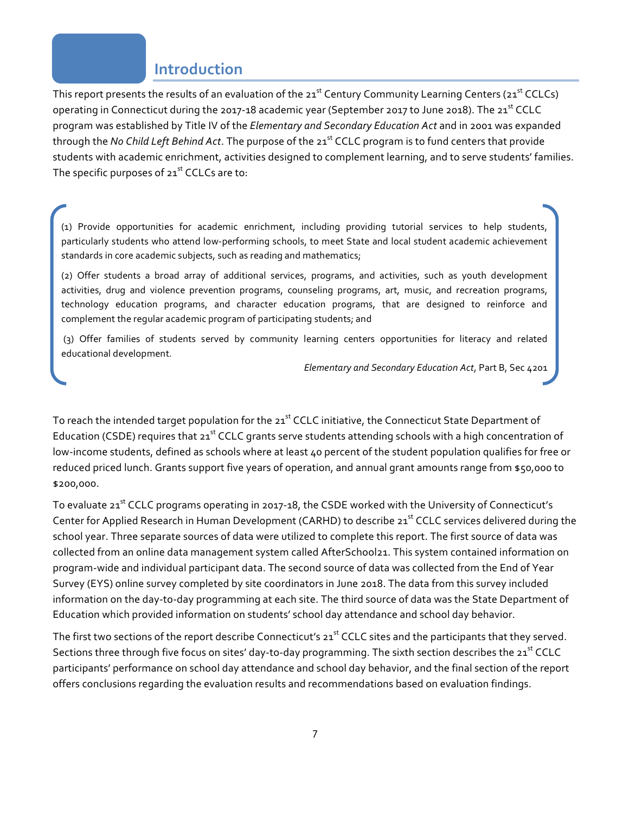## **Introduction**

This report presents the results of an evaluation of the 21<sup>st</sup> Century Community Learning Centers (21<sup>st</sup> CCLCs) operating in Connecticut during the 2017-18 academic year (September 2017 to June 2018). The 21<sup>st</sup> CCLC program was established by Title IV of the *Elementary and Secondary Education Act* and in 2001 was expanded through the *No Child Left Behind Act*. The purpose of the 21<sup>st</sup> CCLC program is to fund centers that provide students with academic enrichment, activities designed to complement learning, and to serve students' families. The specific purposes of  $21<sup>st</sup>$  CCLCs are to:

(1) Provide opportunities for academic enrichment, including providing tutorial services to help students, particularly students who attend low-performing schools, to meet State and local student academic achievement standards in core academic subjects, such as reading and mathematics;

(2) Offer students a broad array of additional services, programs, and activities, such as youth development activities, drug and violence prevention programs, counseling programs, art, music, and recreation programs, technology education programs, and character education programs, that are designed to reinforce and complement the regular academic program of participating students; and

(3) Offer families of students served by community learning centers opportunities for literacy and related educational development.

*Elementary and Secondary Education Act*, Part B, Sec 4201

To reach the intended target population for the 21<sup>st</sup> CCLC initiative, the Connecticut State Department of Education (CSDE) requires that 21<sup>st</sup> CCLC grants serve students attending schools with a high concentration of low-income students, defined as schools where at least 40 percent of the student population qualifies for free or reduced priced lunch. Grants support five years of operation, and annual grant amounts range from \$50,000 to \$200,000.

To evaluate 21<sup>st</sup> CCLC programs operating in 2017-18, the CSDE worked with the University of Connecticut's Center for Applied Research in Human Development (CARHD) to describe 21<sup>st</sup> CCLC services delivered during the school year. Three separate sources of data were utilized to complete this report. The first source of data was collected from an online data management system called AfterSchool21. This system contained information on program-wide and individual participant data. The second source of data was collected from the End of Year Survey (EYS) online survey completed by site coordinators in June 2018. The data from this survey included information on the day-to-day programming at each site. The third source of data was the State Department of Education which provided information on students' school day attendance and school day behavior.

The first two sections of the report describe Connecticut's 21<sup>st</sup> CCLC sites and the participants that they served. Sections three through five focus on sites' day-to-day programming. The sixth section describes the 21<sup>st</sup> CCLC participants' performance on school day attendance and school day behavior, and the final section of the report offers conclusions regarding the evaluation results and recommendations based on evaluation findings.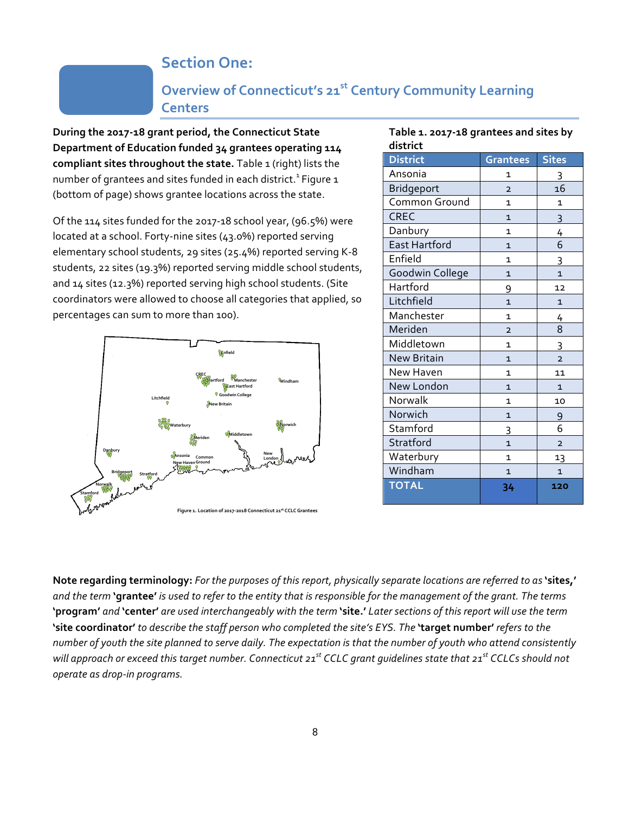## **Section One:**

## **Overview of Connecticut's 21st Century Community Learning Centers**

**During the 2017-18 grant period, the Connecticut State Department of Education funded 34 grantees operating 114 compliant sites throughout the state.** Table 1 (right) lists the number of grantees and sites funded in each district.<sup>1</sup> Figure 1 (bottom of page) shows grantee locations across the state.

Of the 114 sites funded for the 2017-18 school year, (96.5%) were located at a school. Forty-nine sites (43.0%) reported serving elementary school students, 29 sites (25.4%) reported serving K-8 students, 22 sites (19.3%) reported serving middle school students, and 14 sites (12.3%) reported serving high school students. (Site coordinators were allowed to choose all categories that applied, so percentages can sum to more than 100).



| district             |                                |                |  |  |
|----------------------|--------------------------------|----------------|--|--|
| <b>District</b>      | Grantees                       | <b>Sites</b>   |  |  |
| Ansonia              | 1                              | 3              |  |  |
| <b>Bridgeport</b>    | 16<br>$\overline{2}$           |                |  |  |
| Common Ground        | $\mathbf{1}$<br>1              |                |  |  |
| <b>CREC</b>          | $\mathbf{1}$                   | $\overline{3}$ |  |  |
| Danbury              | $\mathbf{1}$                   | $\frac{4}{1}$  |  |  |
| <b>East Hartford</b> | $\mathbf{1}$                   | 6              |  |  |
| Enfield              | $\mathbf{1}$                   | 3              |  |  |
| Goodwin College      | $\mathbf{1}$                   | $\overline{1}$ |  |  |
| Hartford             | 9                              | 12             |  |  |
| Litchfield           | $\overline{1}$                 | $\mathbf{1}$   |  |  |
| Manchester           | 1                              | 4              |  |  |
| Meriden              | $\overline{2}$                 | 8              |  |  |
| Middletown           | $\mathbf{1}$                   | $\overline{3}$ |  |  |
| <b>New Britain</b>   | $\overline{1}$                 | $\overline{2}$ |  |  |
| New Haven            | $\mathbf{1}$                   | 11             |  |  |
| New London           | $\mathbf{1}$<br>$\mathbf{1}$   |                |  |  |
| Norwalk              | $\mathbf{1}$<br>10             |                |  |  |
| Norwich              | $\overline{1}$                 | 9              |  |  |
| Stamford             | 6<br>3                         |                |  |  |
| Stratford            | $\mathbf{1}$<br>$\overline{2}$ |                |  |  |
| Waterbury            | 1                              | 13             |  |  |
| Windham              | $\mathbf{1}$                   | $\overline{1}$ |  |  |
| <b>TOTAL</b>         | 34                             | 120            |  |  |

**Table 1. 2017-18 grantees and sites by** 

**Note regarding terminology:** *For the purposes of this report, physically separate locations are referred to as* **'sites,'** *and the term* **'grantee'** *is used to refer to the entity that is responsible for the management of the grant. The terms*  **'program'** *and* **'center'** *are used interchangeably with the term* **'site.'** *Later sections of this report will use the term*  **'site coordinator'** *to describe the staff person who completed the site's EYS. The* **'target number'** *refers to the number of youth the site planned to serve daily. The expectation is that the number of youth who attend consistently will approach or exceed this target number. Connecticut 21st CCLC grant guidelines state that 21st CCLCs should not operate as drop-in programs.*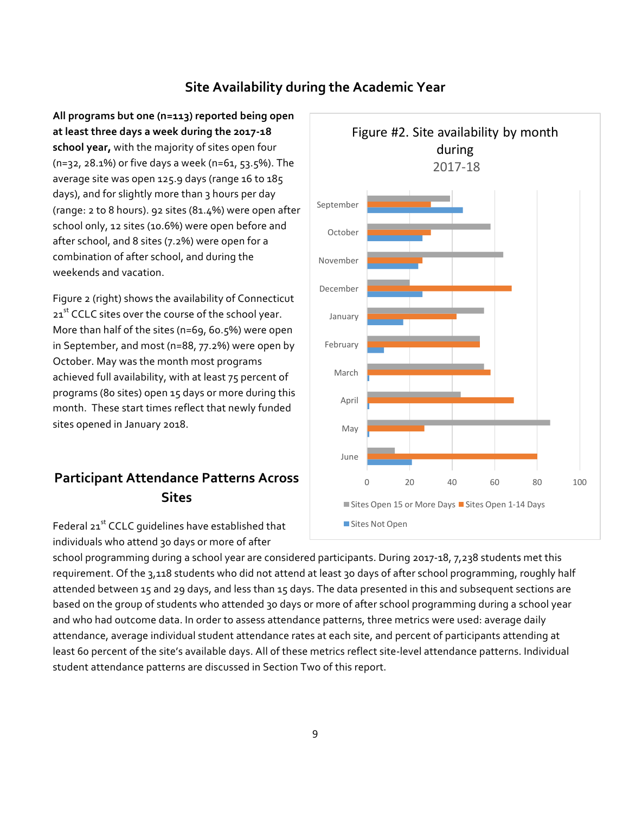### **Site Availability during the Academic Year**

**All programs but one (n=113) reported being open at least three days a week during the 2017-18 school year,** with the majority of sites open four (n=32, 28.1%) or five days a week (n=61, 53.5%). The average site was open 125.9 days (range 16 to 185 days), and for slightly more than 3 hours per day (range: 2 to 8 hours). 92 sites (81.4%) were open after school only, 12 sites (10.6%) were open before and after school, and 8 sites (7.2%) were open for a combination of after school, and during the weekends and vacation.

Figure 2 (right) shows the availability of Connecticut 21<sup>st</sup> CCLC sites over the course of the school year. More than half of the sites (n=69, 60.5%) were open in September, and most (n=88, 77.2%) were open by October. May was the month most programs achieved full availability, with at least 75 percent of programs (80 sites) open 15 days or more during this month. These start times reflect that newly funded sites opened in January 2018.

## **Participant Attendance Patterns Across Sites**

Federal 21<sup>st</sup> CCLC quidelines have established that individuals who attend 30 days or more of after



school programming during a school year are considered participants. During 2017-18, 7,238 students met this requirement. Of the 3,118 students who did not attend at least 3o days of after school programming, roughly half attended between 15 and 29 days, and less than 15 days. The data presented in this and subsequent sections are based on the group of students who attended 30 days or more of after school programming during a school year and who had outcome data. In order to assess attendance patterns, three metrics were used: average daily attendance, average individual student attendance rates at each site, and percent of participants attending at least 60 percent of the site's available days. All of these metrics reflect site-level attendance patterns. Individual student attendance patterns are discussed in Section Two of this report.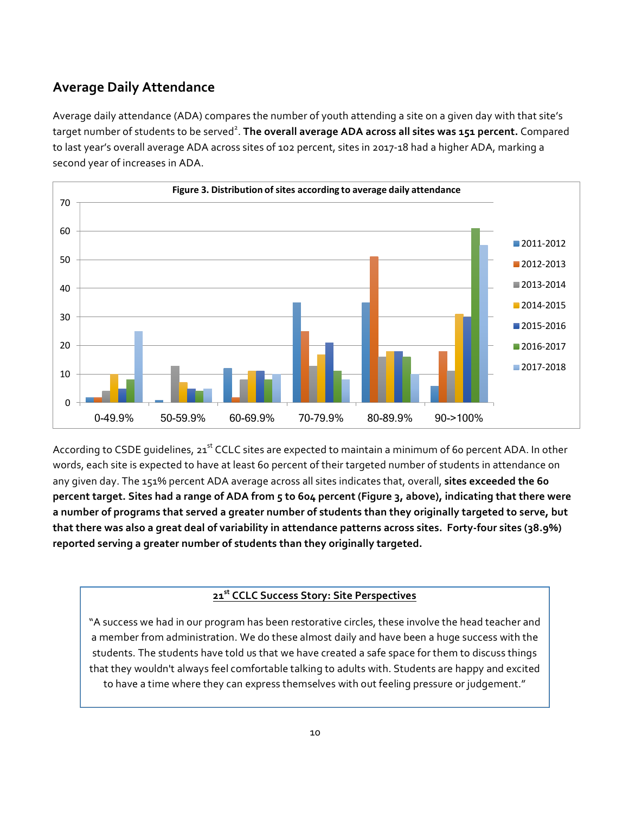## **Average Daily Attendance**

Average daily attendance (ADA) compares the number of youth attending a site on a given day with that site's target number of students to be served<sup>2</sup>. The overall average ADA across all sites was 151 percent. Compared to last year's overall average ADA across sites of 102 percent, sites in 2017-18 had a higher ADA, marking a second year of increases in ADA.



According to CSDE guidelines, 21<sup>st</sup> CCLC sites are expected to maintain a minimum of 60 percent ADA. In other words, each site is expected to have at least 60 percent of their targeted number of students in attendance on any given day. The 151% percent ADA average across all sites indicates that, overall, **sites exceeded the 60 percent target. Sites had a range of ADA from 5 to 604 percent (Figure 3, above), indicating that there were a number of programs that served a greater number of students than they originally targeted to serve, but that there was also a great deal of variability in attendance patterns across sites. Forty-four sites (38.9%) reported serving a greater number of students than they originally targeted.** 

### **21st CCLC Success Story: Site Perspectives**

"A success we had in our program has been restorative circles, these involve the head teacher and a member from administration. We do these almost daily and have been a huge success with the students. The students have told us that we have created a safe space for them to discuss things that they wouldn't always feel comfortable talking to adults with. Students are happy and excited to have a time where they can express themselves with out feeling pressure or judgement."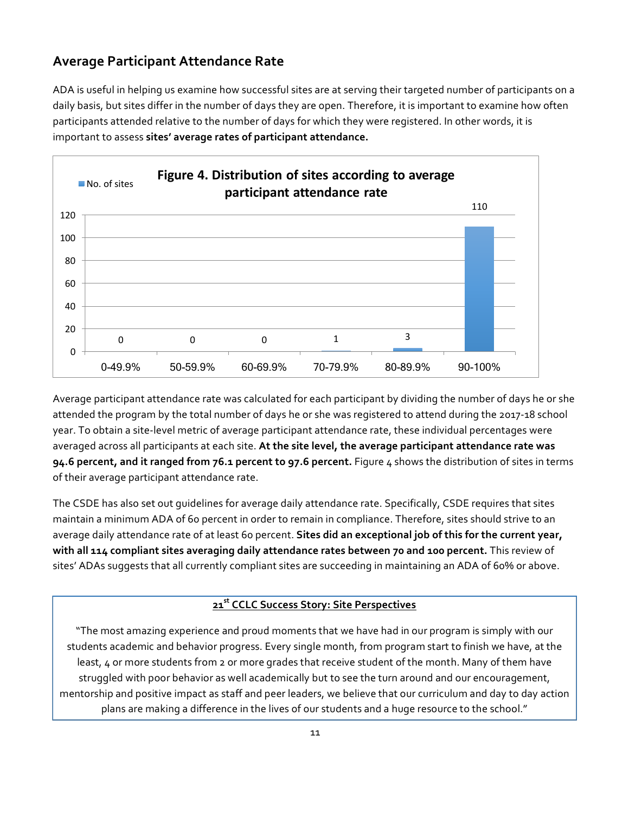### **Average Participant Attendance Rate**

ADA is useful in helping us examine how successful sites are at serving their targeted number of participants on a daily basis, but sites differ in the number of days they are open. Therefore, it is important to examine how often participants attended relative to the number of days for which they were registered. In other words, it is important to assess **sites' average rates of participant attendance.**



Average participant attendance rate was calculated for each participant by dividing the number of days he or she attended the program by the total number of days he or she was registered to attend during the 2017-18 school year. To obtain a site-level metric of average participant attendance rate, these individual percentages were averaged across all participants at each site. **At the site level, the average participant attendance rate was 94.6 percent, and it ranged from 76.1 percent to 97.6 percent.** Figure 4 shows the distribution of sites in terms of their average participant attendance rate.

The CSDE has also set out guidelines for average daily attendance rate. Specifically, CSDE requires that sites maintain a minimum ADA of 60 percent in order to remain in compliance. Therefore, sites should strive to an average daily attendance rate of at least 60 percent. **Sites did an exceptional job of this for the current year, with all 114 compliant sites averaging daily attendance rates between 70 and 100 percent.** This review of sites' ADAs suggests that all currently compliant sites are succeeding in maintaining an ADA of 60% or above.

## **21st CCLC Success Story: Site Perspectives**

"The most amazing experience and proud moments that we have had in our program is simply with our students academic and behavior progress. Every single month, from program start to finish we have, at the least, 4 or more students from 2 or more grades that receive student of the month. Many of them have struggled with poor behavior as well academically but to see the turn around and our encouragement, mentorship and positive impact as staff and peer leaders, we believe that our curriculum and day to day action plans are making a difference in the lives of our students and a huge resource to the school."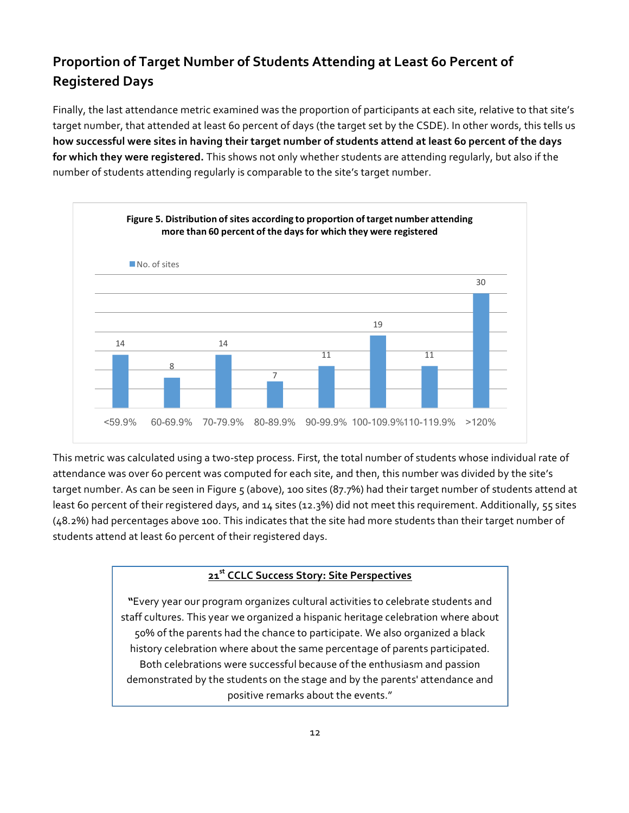## **Proportion of Target Number of Students Attending at Least 60 Percent of Registered Days**

Finally, the last attendance metric examined was the proportion of participants at each site, relative to that site's target number, that attended at least 60 percent of days (the target set by the CSDE). In other words, this tells us **how successful were sites in having their target number of students attend at least 60 percent of the days for which they were registered.** This shows not only whether students are attending regularly, but also if the number of students attending regularly is comparable to the site's target number.



This metric was calculated using a two-step process. First, the total number of students whose individual rate of attendance was over 60 percent was computed for each site, and then, this number was divided by the site's target number. As can be seen in Figure 5 (above), 100 sites (87.7%) had their target number of students attend at least 60 percent of their registered days, and 14 sites (12.3%) did not meet this requirement. Additionally, 55 sites (48.2%) had percentages above 100. This indicates that the site had more students than their target number of students attend at least 60 percent of their registered days.

#### **21st CCLC Success Story: Site Perspectives**

**"**Every year our program organizes cultural activities to celebrate students and staff cultures. This year we organized a hispanic heritage celebration where about 50% of the parents had the chance to participate. We also organized a black history celebration where about the same percentage of parents participated. Both celebrations were successful because of the enthusiasm and passion demonstrated by the students on the stage and by the parents' attendance and positive remarks about the events."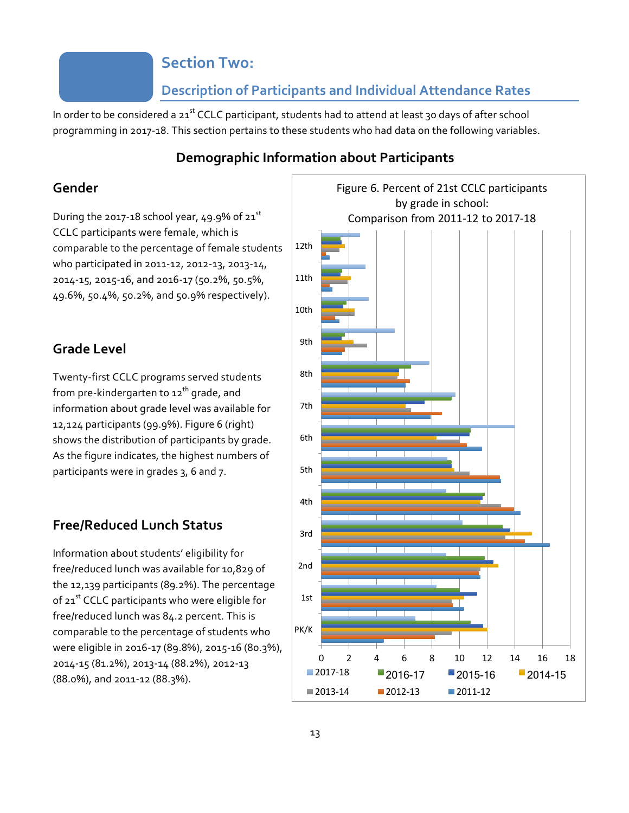## **Section Two:**

### **Description of Participants and Individual Attendance Rates**

In order to be considered a 21<sup>st</sup> CCLC participant, students had to attend at least 30 days of after school programming in 2017-18. This section pertains to these students who had data on the following variables.

### **Demographic Information about Participants**

### **Gender**

During the 2017-18 school year, 49.9% of  $21^{st}$ CCLC participants were female, which is comparable to the percentage of female students who participated in 2011-12, 2012-13, 2013-14, 2014-15, 2015-16, and 2016-17 (50.2%, 50.5%, 49.6%, 50.4%, 50.2%, and 50.9% respectively).

### **Grade Level**

Twenty-first CCLC programs served students from pre-kindergarten to 12<sup>th</sup> grade, and information about grade level was available for 12,124 participants (99.9%). Figure 6 (right) shows the distribution of participants by grade. As the figure indicates, the highest numbers of participants were in grades 3, 6 and 7.

### **Free/Reduced Lunch Status**

Information about students' eligibility for free/reduced lunch was available for 10,829 of the 12,139 participants (89.2%). The percentage of 21<sup>st</sup> CCLC participants who were eligible for free/reduced lunch was 84.2 percent. This is comparable to the percentage of students who were eligible in 2016-17 (89.8%), 2015-16 (80.3%), 2014-15 (81.2%), 2013-14 (88.2%), 2012-13 (88.0%), and 2011-12 (88.3%).

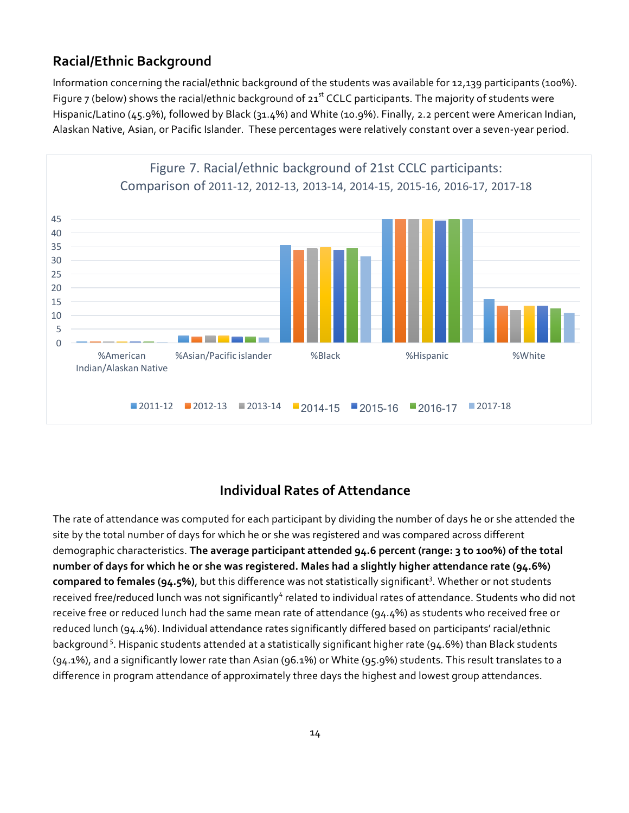### **Racial/Ethnic Background**

Information concerning the racial/ethnic background of the students was available for 12,139 participants (100%). Figure 7 (below) shows the racial/ethnic background of  $21^{st}$  CCLC participants. The majority of students were Hispanic/Latino (45.9%), followed by Black (31.4%) and White (10.9%). Finally, 2.2 percent were American Indian, Alaskan Native, Asian, or Pacific Islander. These percentages were relatively constant over a seven-year period.



### **Individual Rates of Attendance**

The rate of attendance was computed for each participant by dividing the number of days he or she attended the site by the total number of days for which he or she was registered and was compared across different demographic characteristics. **The average participant attended 94.6 percent (range: 3 to 100%) of the total number of days for which he or she was registered. Males had a slightly higher attendance rate (94.6%)**  compared to females (94.5%), but this difference was not statistically significant<sup>3</sup>. Whether or not students received free/reduced lunch was not significantly<sup>4</sup> related to individual rates of attendance. Students who did not receive free or reduced lunch had the same mean rate of attendance (94.4%) as students who received free or reduced lunch (94.4%). Individual attendance rates significantly differed based on participants' racial/ethnic background<sup>5</sup>. Hispanic students attended at a statistically significant higher rate (94.6%) than Black students (94.1%), and a significantly lower rate than Asian (96.1%) or White (95.9%) students. This result translates to a difference in program attendance of approximately three days the highest and lowest group attendances.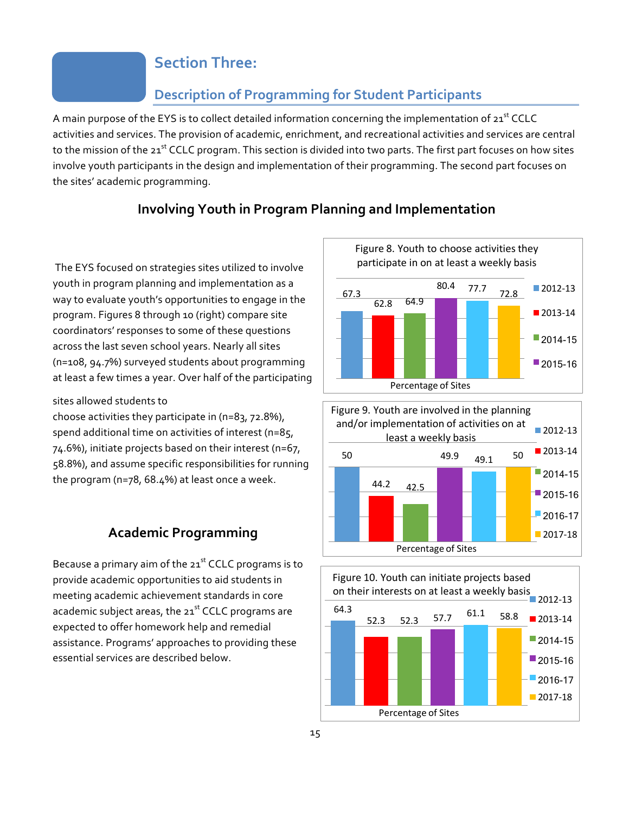## **Section Three:**

### **Description of Programming for Student Participants**

A main purpose of the EYS is to collect detailed information concerning the implementation of 21st CCLC activities and services. The provision of academic, enrichment, and recreational activities and services are central to the mission of the 21<sup>st</sup> CCLC program. This section is divided into two parts. The first part focuses on how sites involve youth participants in the design and implementation of their programming. The second part focuses on the sites' academic programming.

### **Involving Youth in Program Planning and Implementation**

The EYS focused on strategies sites utilized to involve youth in program planning and implementation as a way to evaluate youth's opportunities to engage in the program. Figures 8 through 10 (right) compare site coordinators' responses to some of these questions across the last seven school years. Nearly all sites (n=108, 94.7%) surveyed students about programming at least a few times a year. Over half of the participating

#### sites allowed students to

choose activities they participate in (n=83, 72.8%), spend additional time on activities of interest (n=85, 74.6%), initiate projects based on their interest (n=67, 58.8%), and assume specific responsibilities for running the program (n=78, 68.4%) at least once a week.

### **Academic Programming**

Because a primary aim of the  $21<sup>st</sup>$  CCLC programs is to provide academic opportunities to aid students in meeting academic achievement standards in core academic subject areas, the 21<sup>st</sup> CCLC programs are expected to offer homework help and remedial assistance. Programs' approaches to providing these essential services are described below.





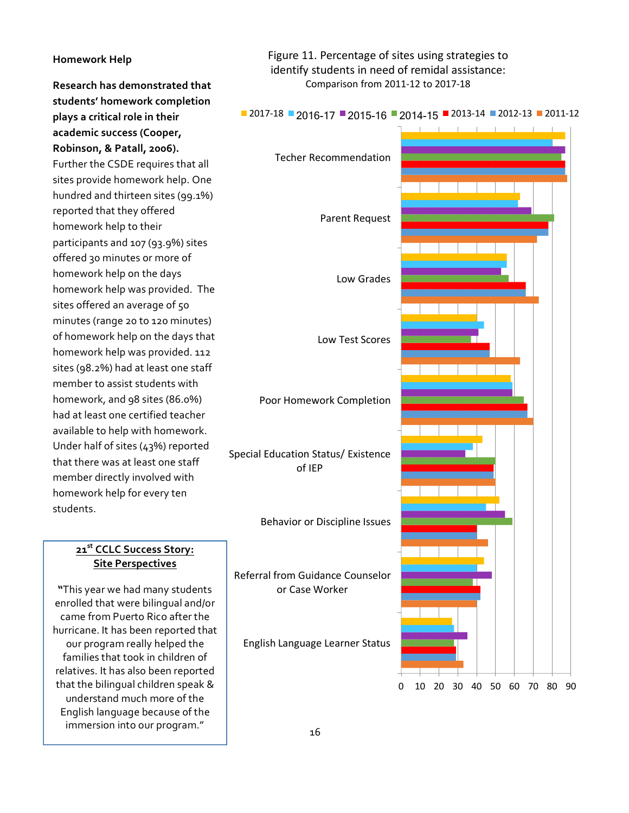#### **Homework Help**

**Research has demonstrated that students' homework completion plays a critical role in their academic success (Cooper, Robinson, & Patall, 2006).**  Further the CSDE requires that all sites provide homework help. One hundred and thirteen sites (99.1%) reported that they offered homework help to their participants and 107 (93.9%) sites offered 30 minutes or more of homework help on the days homework help was provided. The sites offered an average of 50 minutes (range 20 to 120 minutes) of homework help on the days that homework help was provided. 112 sites (98.2%) had at least one staff member to assist students with homework, and 98 sites (86.0%) had at least one certified teacher available to help with homework. Under half of sites (43%) reported that there was at least one staff member directly involved with homework help for every ten students.

#### **21st CCLC Success Story: Site Perspectives**

**"**This year we had many students enrolled that were bilingual and/or came from Puerto Rico after the hurricane. It has been reported that our program really helped the families that took in children of relatives. It has also been reported that the bilingual children speak & understand much more of the English language because of the immersion into our program."

Figure 11. Percentage of sites using strategies to identify students in need of remidal assistance: Comparison from 2011-12 to 2017-18



#### $\blacksquare$  2017-18  $\blacksquare$  2016-17  $\blacksquare$  2015-16  $\blacksquare$  2014-15  $\blacksquare$  2013-14  $\blacksquare$  2012-13  $\blacksquare$  2011-12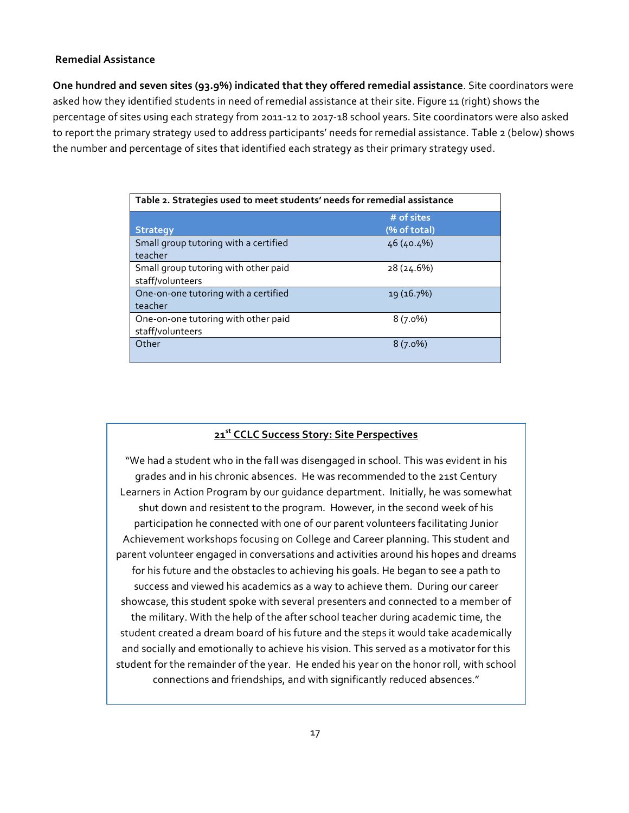#### **Remedial Assistance**

**One hundred and seven sites (93.9%) indicated that they offered remedial assistance**. Site coordinators were asked how they identified students in need of remedial assistance at their site. Figure 11 (right) shows the percentage of sites using each strategy from 2011-12 to 2017-18 school years. Site coordinators were also asked to report the primary strategy used to address participants' needs for remedial assistance. Table 2 (below) shows the number and percentage of sites that identified each strategy as their primary strategy used.

| Table 2. Strategies used to meet students' needs for remedial assistance |                            |  |  |
|--------------------------------------------------------------------------|----------------------------|--|--|
| <b>Strategy</b>                                                          | # of sites<br>(% of total) |  |  |
| Small group tutoring with a certified<br>teacher                         | 46 (40.4%)                 |  |  |
| Small group tutoring with other paid<br>staff/volunteers                 | 28 (24.6%)                 |  |  |
| One-on-one tutoring with a certified<br>teacher                          | 19 (16.7%)                 |  |  |
| One-on-one tutoring with other paid<br>staff/volunteers                  | $8(7.0\%)$                 |  |  |
| Other                                                                    | $8(7.0\%)$                 |  |  |

### **21st CCLC Success Story: Site Perspectives**

"We had a student who in the fall was disengaged in school. This was evident in his grades and in his chronic absences. He was recommended to the 21st Century Learners in Action Program by our guidance department. Initially, he was somewhat shut down and resistent to the program. However, in the second week of his participation he connected with one of our parent volunteers facilitating Junior Achievement workshops focusing on College and Career planning. This student and parent volunteer engaged in conversations and activities around his hopes and dreams for his future and the obstacles to achieving his goals. He began to see a path to success and viewed his academics as a way to achieve them. During our career showcase, this student spoke with several presenters and connected to a member of the military. With the help of the after school teacher during academic time, the student created a dream board of his future and the steps it would take academically and socially and emotionally to achieve his vision. This served as a motivator for this student for the remainder of the year. He ended his year on the honor roll, with school connections and friendships, and with significantly reduced absences."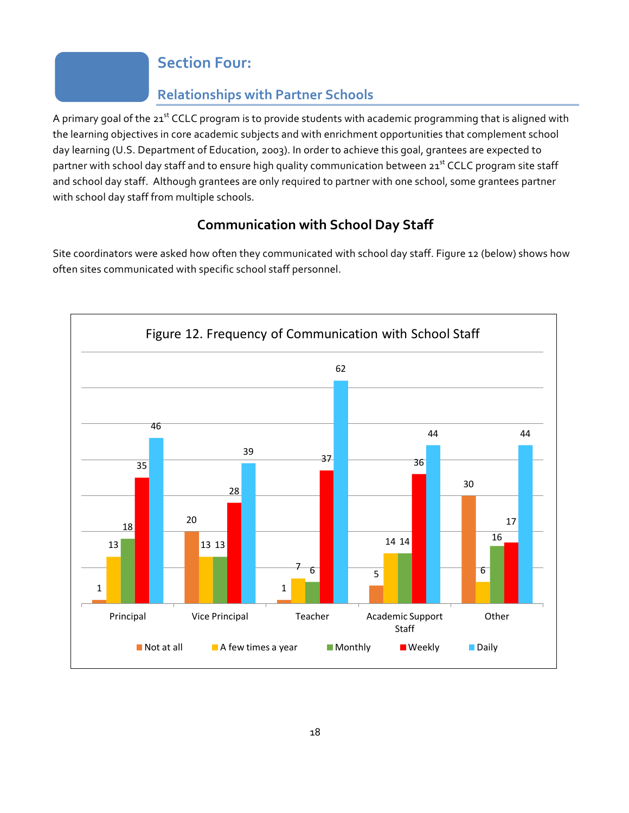## **Section Four:**

## **Relationships with Partner Schools**

A primary goal of the 21<sup>st</sup> CCLC program is to provide students with academic programming that is aligned with the learning objectives in core academic subjects and with enrichment opportunities that complement school day learning (U.S. Department of Education, 2003). In order to achieve this goal, grantees are expected to partner with school day staff and to ensure high quality communication between 21<sup>st</sup> CCLC program site staff and school day staff. Although grantees are only required to partner with one school, some grantees partner with school day staff from multiple schools.

## **Communication with School Day Staff**

Site coordinators were asked how often they communicated with school day staff. Figure 12 (below) shows how often sites communicated with specific school staff personnel.

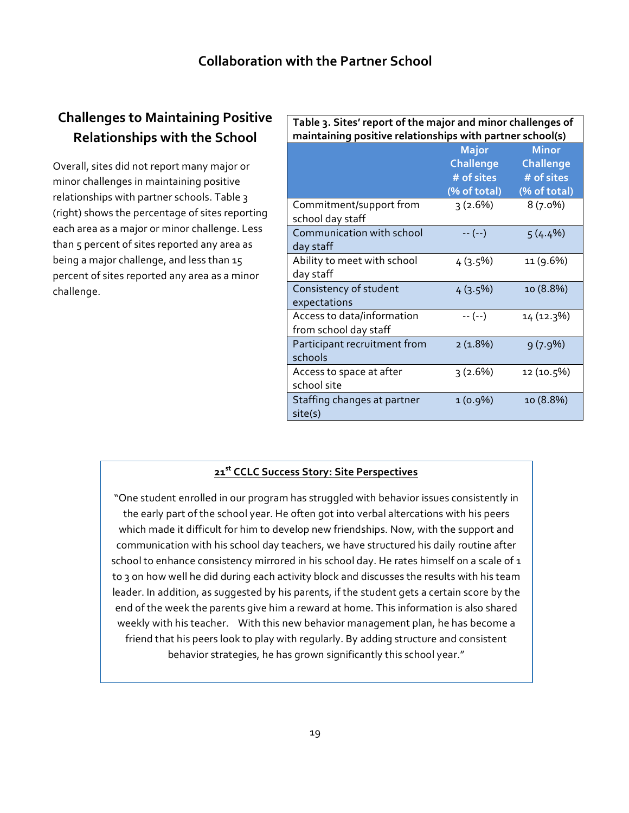## **Challenges to Maintaining Positive Relationships with the School**

Overall, sites did not report many major or minor challenges in maintaining positive relationships with partner schools. Table 3 (right) shows the percentage of sites reporting each area as a major or minor challenge. Less than 5 percent of sites reported any area as being a major challenge, and less than 15 percent of sites reported any area as a minor challenge.

| Table 3. Sites' report of the major and minor challenges of<br>maintaining positive relationships with partner school(s) |                                                                |                                                                |  |
|--------------------------------------------------------------------------------------------------------------------------|----------------------------------------------------------------|----------------------------------------------------------------|--|
|                                                                                                                          | <b>Major</b><br><b>Challenge</b><br># of sites<br>(% of total) | <b>Minor</b><br><b>Challenge</b><br># of sites<br>(% of total) |  |
| Commitment/support from<br>school day staff                                                                              | 3(2.6%)                                                        | $8(7.0\%)$                                                     |  |
| Communication with school<br>day staff                                                                                   | $-- (-)$                                                       | $5(4.4\%)$                                                     |  |
| Ability to meet with school<br>day staff                                                                                 | $4(3.5\%)$                                                     | 11 (9.6%)                                                      |  |
| Consistency of student<br>expectations                                                                                   | $4(3.5\%)$                                                     | 10 (8.8%)                                                      |  |
| Access to data/information<br>from school day staff                                                                      | $-- (-)$                                                       | 14 (12.3%)                                                     |  |
| Participant recruitment from<br>schools                                                                                  | 2(1.8%)                                                        | 9(7.9%)                                                        |  |
| Access to space at after<br>school site                                                                                  | 3(2.6%)                                                        | 12 (10.5%)                                                     |  |
| Staffing changes at partner<br>site(s)                                                                                   | $1(0.9\%)$                                                     | 10 (8.8%)                                                      |  |

### **21st CCLC Success Story: Site Perspectives**

"One student enrolled in our program has struggled with behavior issues consistently in the early part of the school year. He often got into verbal altercations with his peers which made it difficult for him to develop new friendships. Now, with the support and communication with his school day teachers, we have structured his daily routine after school to enhance consistency mirrored in his school day. He rates himself on a scale of  $1$ to 3 on how well he did during each activity block and discusses the results with his team leader. In addition, as suggested by his parents, if the student gets a certain score by the end of the week the parents give him a reward at home. This information is also shared weekly with his teacher. With this new behavior management plan, he has become a friend that his peers look to play with regularly. By adding structure and consistent behavior strategies, he has grown significantly this school year."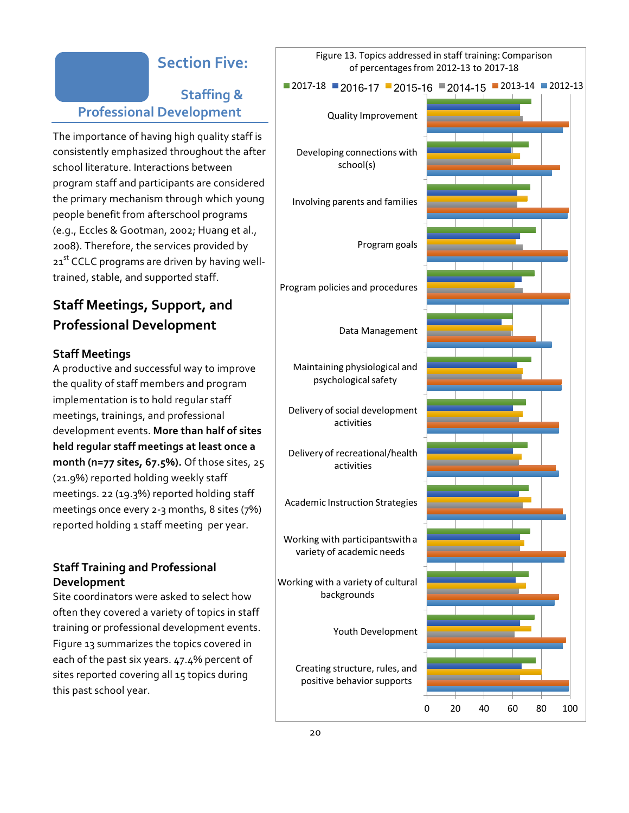## **Section Five:**

## **Staffing & Professional Development**

The importance of having high quality staff is consistently emphasized throughout the after school literature. Interactions between program staff and participants are considered the primary mechanism through which young people benefit from afterschool programs (e.g., Eccles & Gootman, 2002; Huang et al., 2008). Therefore, the services provided by 21<sup>st</sup> CCLC programs are driven by having welltrained, stable, and supported staff.

## **Staff Meetings, Support, and Professional Development**

#### **Staff Meetings**

A productive and successful way to improve the quality of staff members and program implementation is to hold regular staff meetings, trainings, and professional development events. **More than half of sites held regular staff meetings at least once a month (n=77 sites, 67.5%).** Of those sites, 25 (21.9%) reported holding weekly staff meetings. 22 (19.3%) reported holding staff meetings once every 2-3 months, 8 sites (7%) reported holding 1 staff meeting per year.

### **Staff Training and Professional Development**

Site coordinators were asked to select how often they covered a variety of topics in staff training or professional development events. Figure 13 summarizes the topics covered in each of the past six years. 47.4% percent of sites reported covering all 15 topics during this past school year.

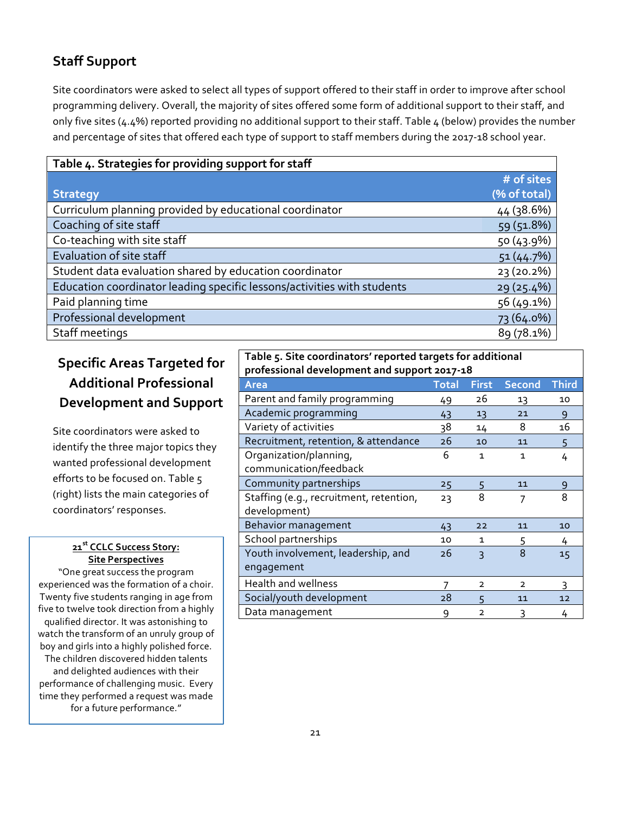## **Staff Support**

Site coordinators were asked to select all types of support offered to their staff in order to improve after school programming delivery. Overall, the majority of sites offered some form of additional support to their staff, and only five sites (4.4%) reported providing no additional support to their staff. Table 4 (below) provides the number and percentage of sites that offered each type of support to staff members during the 2017-18 school year.

| Table 4. Strategies for providing support for staff                     |              |
|-------------------------------------------------------------------------|--------------|
|                                                                         | # of sites   |
| <b>Strategy</b>                                                         | (% of total) |
| Curriculum planning provided by educational coordinator                 | 44 (38.6%)   |
| Coaching of site staff                                                  | 59 (51.8%)   |
| Co-teaching with site staff                                             | 50 (43.9%)   |
| Evaluation of site staff                                                | 51(44.7%)    |
| Student data evaluation shared by education coordinator                 | 23 (20.2%)   |
| Education coordinator leading specific lessons/activities with students | 29 (25.4%)   |
| Paid planning time                                                      | 56 (49.1%)   |
| Professional development                                                | 73 (64.0%)   |
| Staff meetings                                                          | 89 (78.1%)   |

## **Specific Areas Targeted for Additional Professional Development and Support**

Site coordinators were asked to identify the three major topics they wanted professional development efforts to be focused on. Table 5 (right) lists the main categories of coordinators' responses.

#### **21st CCLC Success Story: Site Perspectives**

"One great success the program experienced was the formation of a choir. Twenty five students ranging in age from five to twelve took direction from a highly qualified director. It was astonishing to watch the transform of an unruly group of boy and girls into a highly polished force. The children discovered hidden talents and delighted audiences with their performance of challenging music. Every time they performed a request was made for a future performance."

## **Table 5. Site coordinators' reported targets for additional**

| professional development and support 2017-18            |              |                         |                |              |
|---------------------------------------------------------|--------------|-------------------------|----------------|--------------|
| <b>Area</b>                                             | <b>Total</b> | <b>First</b>            | <b>Second</b>  | <b>Third</b> |
| Parent and family programming                           | 49           | 26                      | 13             | 10           |
| Academic programming                                    | 43           | 13                      | 21             | $\mathsf{q}$ |
| Variety of activities                                   | 38           | 14                      | 8              | 16           |
| Recruitment, retention, & attendance                    | 26           | 10                      | 11             | 5            |
| Organization/planning,<br>communication/feedback        | 6            | 1                       | 1              | 4            |
| Community partnerships                                  | 25           | 5                       | 11             | 9            |
| Staffing (e.g., recruitment, retention,<br>development) | 23           | 8                       | 7              | 8            |
| Behavior management                                     | 43           | 22                      | 11             | 10           |
| School partnerships                                     | 10           | 1                       | 5              | 4            |
| Youth involvement, leadership, and<br>engagement        | 26           | $\overline{\mathsf{A}}$ | 8              | 15           |
| <b>Health and wellness</b>                              |              | $\overline{2}$          | $\overline{2}$ | 3            |
| Social/youth development                                | 28           | 5                       | 11             | 12           |
| Data management                                         | 9            | $\overline{2}$          | 3              | 4            |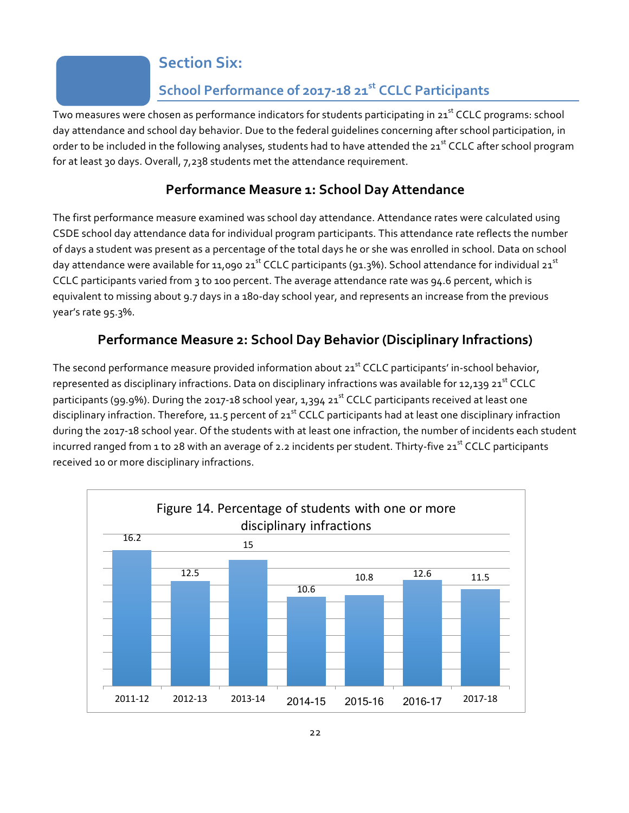## **Section Six:**

## **School Performance of 2017-18 21st CCLC Participants**

Two measures were chosen as performance indicators for students participating in 21<sup>st</sup> CCLC programs: school day attendance and school day behavior. Due to the federal guidelines concerning after school participation, in order to be included in the following analyses, students had to have attended the 21<sup>st</sup> CCLC after school program for at least 30 days. Overall, 7,238 students met the attendance requirement.

## **Performance Measure 1: School Day Attendance**

The first performance measure examined was school day attendance. Attendance rates were calculated using CSDE school day attendance data for individual program participants. This attendance rate reflects the number of days a student was present as a percentage of the total days he or she was enrolled in school. Data on school day attendance were available for 11,090 21<sup>st</sup> CCLC participants (91.3%). School attendance for individual 21<sup>st</sup> CCLC participants varied from 3 to 100 percent. The average attendance rate was 94.6 percent, which is equivalent to missing about 9.7 days in a 180-day school year, and represents an increase from the previous year's rate 95.3%.

## **Performance Measure 2: School Day Behavior (Disciplinary Infractions)**

The second performance measure provided information about 21<sup>st</sup> CCLC participants' in-school behavior, represented as disciplinary infractions. Data on disciplinary infractions was available for 12,139 21<sup>st</sup> CCLC participants (99.9%). During the 2017-18 school year, 1,394 21<sup>st</sup> CCLC participants received at least one disciplinary infraction. Therefore, 11.5 percent of 21<sup>st</sup> CCLC participants had at least one disciplinary infraction during the 2017-18 school year. Of the students with at least one infraction, the number of incidents each student incurred ranged from 1 to 28 with an average of 2.2 incidents per student. Thirty-five 21<sup>st</sup> CCLC participants received 10 or more disciplinary infractions.

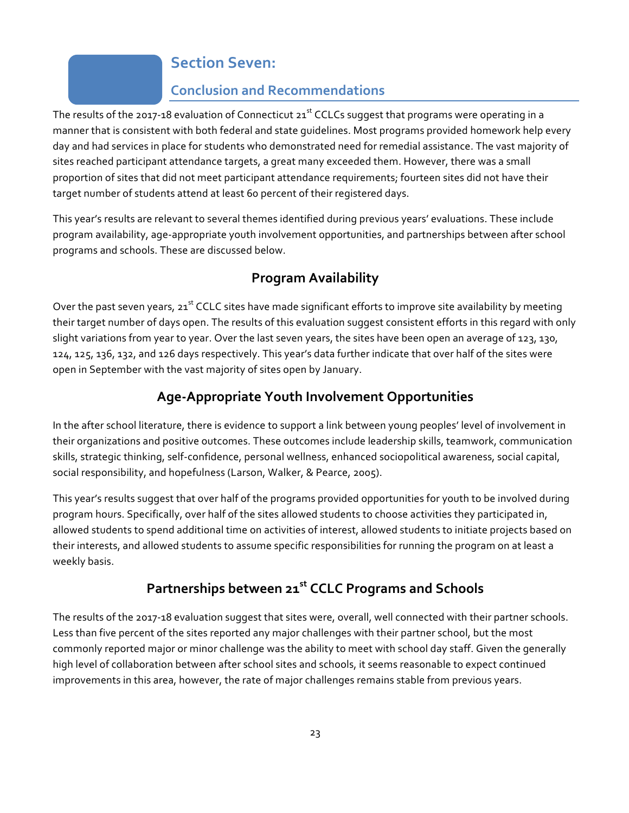## **Section Seven:**

### **Conclusion and Recommendations**

The results of the 2017-18 evaluation of Connecticut  $21^{st}$  CCLCs suggest that programs were operating in a manner that is consistent with both federal and state guidelines. Most programs provided homework help every day and had services in place for students who demonstrated need for remedial assistance. The vast majority of sites reached participant attendance targets, a great many exceeded them. However, there was a small proportion of sites that did not meet participant attendance requirements; fourteen sites did not have their target number of students attend at least 60 percent of their registered days.

This year's results are relevant to several themes identified during previous years' evaluations. These include program availability, age-appropriate youth involvement opportunities, and partnerships between after school programs and schools. These are discussed below.

## **Program Availability**

Over the past seven years,  $21^{st}$  CCLC sites have made significant efforts to improve site availability by meeting their target number of days open. The results of this evaluation suggest consistent efforts in this regard with only slight variations from year to year. Over the last seven years, the sites have been open an average of 123, 130, 124, 125, 136, 132, and 126 days respectively. This year's data further indicate that over half of the sites were open in September with the vast majority of sites open by January.

## **Age-Appropriate Youth Involvement Opportunities**

In the after school literature, there is evidence to support a link between young peoples' level of involvement in their organizations and positive outcomes. These outcomes include leadership skills, teamwork, communication skills, strategic thinking, self-confidence, personal wellness, enhanced sociopolitical awareness, social capital, social responsibility, and hopefulness (Larson, Walker, & Pearce, 2005).

This year's results suggest that over half of the programs provided opportunities for youth to be involved during program hours. Specifically, over half of the sites allowed students to choose activities they participated in, allowed students to spend additional time on activities of interest, allowed students to initiate projects based on their interests, and allowed students to assume specific responsibilities for running the program on at least a weekly basis.

## **Partnerships between 21st CCLC Programs and Schools**

The results of the 2017-18 evaluation suggest that sites were, overall, well connected with their partner schools. Less than five percent of the sites reported any major challenges with their partner school, but the most commonly reported major or minor challenge was the ability to meet with school day staff. Given the generally high level of collaboration between after school sites and schools, it seems reasonable to expect continued improvements in this area, however, the rate of major challenges remains stable from previous years.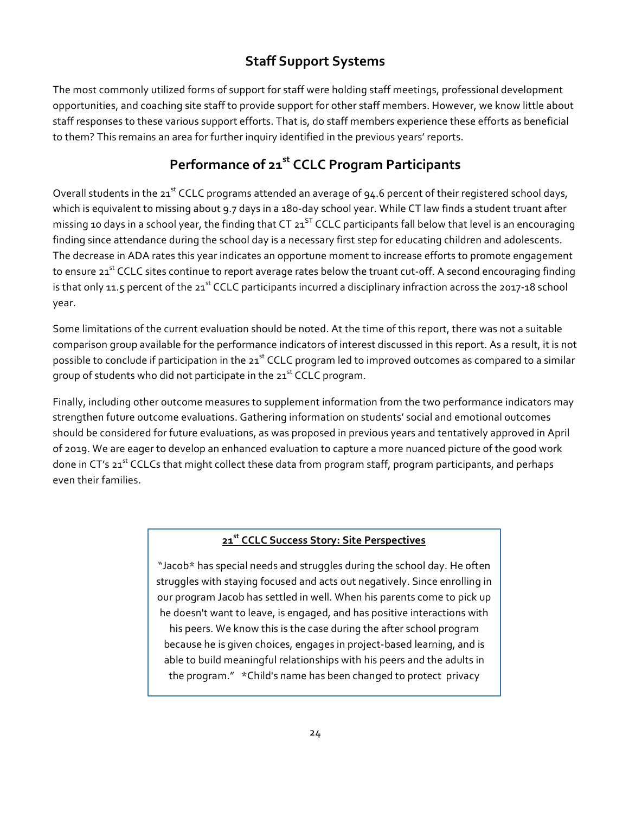## **Staff Support Systems**

The most commonly utilized forms of support for staff were holding staff meetings, professional development opportunities, and coaching site staff to provide support for other staff members. However, we know little about staff responses to these various support efforts. That is, do staff members experience these efforts as beneficial to them? This remains an area for further inquiry identified in the previous years' reports.

## **Performance of 21st CCLC Program Participants**

Overall students in the 21<sup>st</sup> CCLC programs attended an average of 94.6 percent of their registered school days, which is equivalent to missing about 9.7 days in a 180-day school year. While CT law finds a student truant after missing 10 days in a school year, the finding that CT  $21^{ST}$  CCLC participants fall below that level is an encouraging finding since attendance during the school day is a necessary first step for educating children and adolescents. The decrease in ADA rates this year indicates an opportune moment to increase efforts to promote engagement to ensure 21<sup>st</sup> CCLC sites continue to report average rates below the truant cut-off. A second encouraging finding is that only 11.5 percent of the 21<sup>st</sup> CCLC participants incurred a disciplinary infraction across the 2017-18 school year.

Some limitations of the current evaluation should be noted. At the time of this report, there was not a suitable comparison group available for the performance indicators of interest discussed in this report. As a result, it is not possible to conclude if participation in the 21<sup>st</sup> CCLC program led to improved outcomes as compared to a similar group of students who did not participate in the  $21^{st}$  CCLC program.

Finally, including other outcome measures to supplement information from the two performance indicators may strengthen future outcome evaluations. Gathering information on students' social and emotional outcomes should be considered for future evaluations, as was proposed in previous years and tentatively approved in April of 2019. We are eager to develop an enhanced evaluation to capture a more nuanced picture of the good work done in CT's 21<sup>st</sup> CCLCs that might collect these data from program staff, program participants, and perhaps even their families.

#### **21st CCLC Success Story: Site Perspectives**

"Jacob\* has special needs and struggles during the school day. He often struggles with staying focused and acts out negatively. Since enrolling in our program Jacob has settled in well. When his parents come to pick up he doesn't want to leave, is engaged, and has positive interactions with his peers. We know this is the case during the after school program because he is given choices, engages in project-based learning, and is able to build meaningful relationships with his peers and the adults in the program." \*Child's name has been changed to protect privacy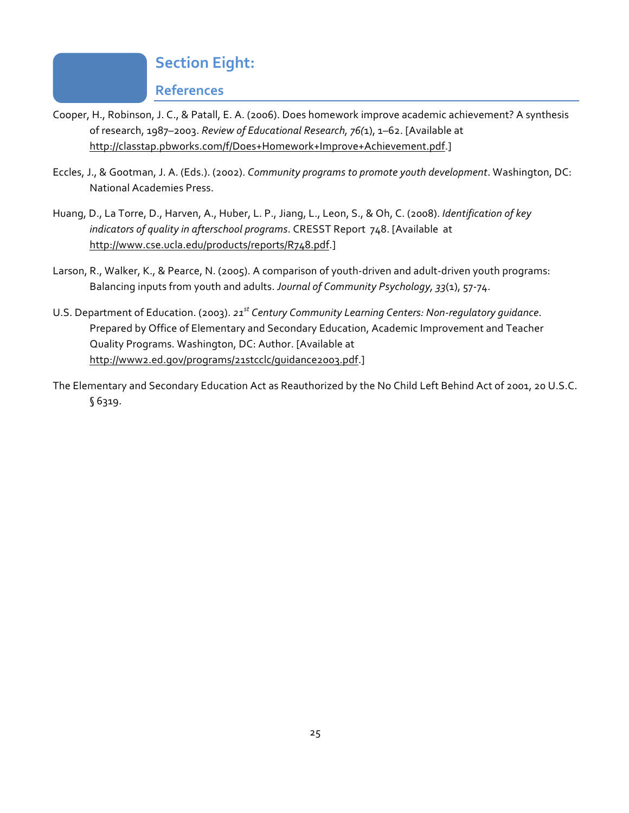## **Section Eight:**

### **References**

- Cooper, H., Robinson, J. C., & Patall, E. A. (2006). Does homework improve academic achievement? A synthesis of research, 1987–2003. *Review of Educational Research, 76(*1), 1–62. [Available at http://classtap.pbworks.com/f/Does+Homework+Improve+Achievement.pdf.]
- Eccles, J., & Gootman, J. A. (Eds.). (2002). *Community programs to promote youth development*. Washington, DC: National Academies Press.
- Huang, D., La Torre, D., Harven, A., Huber, L. P., Jiang, L., Leon, S., & Oh, C. (2008). *Identification of key indicators of quality in afterschool programs*. CRESST Report 748. [Available at http://www.cse.ucla.edu/products/reports/R748.pdf.]
- Larson, R., Walker, K., & Pearce, N. (2005). A comparison of youth-driven and adult-driven youth programs: Balancing inputs from youth and adults. *Journal of Community Psychology, 33*(1), 57-74.
- U.S. Department of Education. (2003). *21st Century Community Learning Centers: Non-regulatory guidance*. Prepared by Office of Elementary and Secondary Education, Academic Improvement and Teacher Quality Programs. Washington, DC: Author. [Available at http://www2.ed.gov/programs/21stcclc/guidance2003.pdf.]
- The Elementary and Secondary Education Act as Reauthorized by the No Child Left Behind Act of 2001, 20 U.S.C. § 6319.